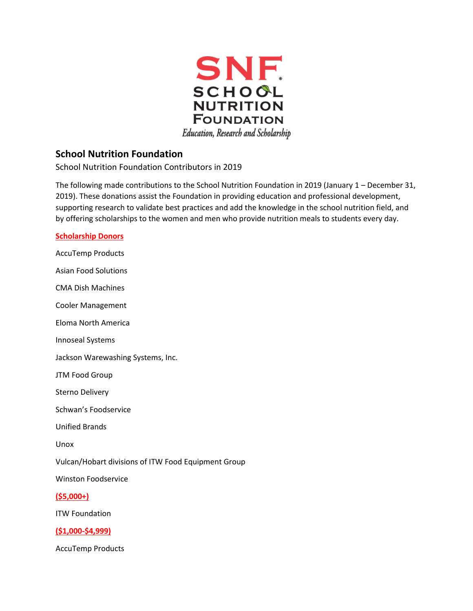

# **School Nutrition Foundation**

School Nutrition Foundation Contributors in 2019

The following made contributions to the School Nutrition Foundation in 2019 (January 1 – December 31, 2019). These donations assist the Foundation in providing education and professional development, supporting research to validate best practices and add the knowledge in the school nutrition field, and by offering scholarships to the women and men who provide nutrition meals to students every day.

# **Scholarship Donors**

AccuTemp Products Asian Food Solutions CMA Dish Machines Cooler Management Eloma North America Innoseal Systems Jackson Warewashing Systems, Inc. JTM Food Group Sterno Delivery Schwan's Foodservice Unified Brands Unox Vulcan/Hobart divisions of ITW Food Equipment Group Winston Foodservice **(\$5,000+)**  ITW Foundation **(\$1,000-\$4,999)** 

AccuTemp Products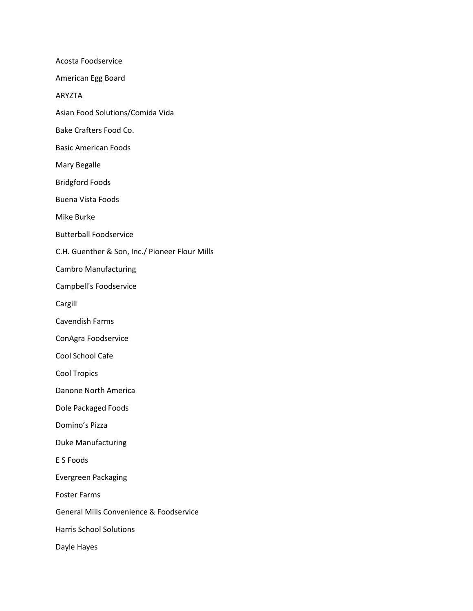Acosta Foodservice American Egg Board ARYZTA Asian Food Solutions/Comida Vida Bake Crafters Food Co. Basic American Foods Mary Begalle Bridgford Foods Buena Vista Foods Mike Burke Butterball Foodservice C.H. Guenther & Son, Inc./ Pioneer Flour Mills Cambro Manufacturing Campbell's Foodservice Cargill Cavendish Farms ConAgra Foodservice Cool School Cafe Cool Tropics Danone North America Dole Packaged Foods Domino's Pizza Duke Manufacturing E S Foods Evergreen Packaging Foster Farms General Mills Convenience & Foodservice Harris School Solutions Dayle Hayes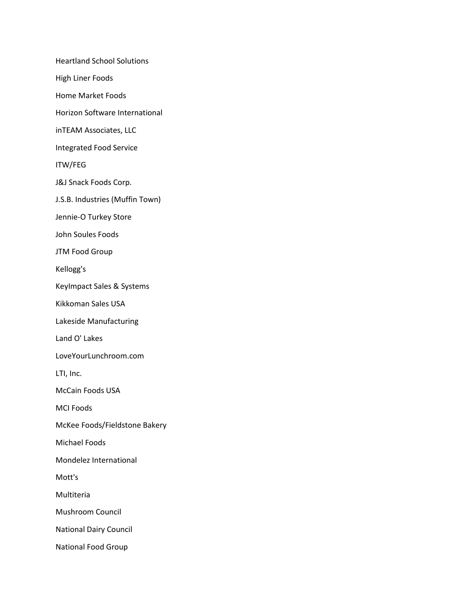Heartland School Solutions

High Liner Foods

Home Market Foods

Horizon Software International

inTEAM Associates, LLC

Integrated Food Service

ITW/FEG

J&J Snack Foods Corp.

J.S.B. Industries (Muffin Town)

Jennie-O Turkey Store

John Soules Foods

JTM Food Group

Kellogg's

KeyImpact Sales & Systems

Kikkoman Sales USA

Lakeside Manufacturing

Land O' Lakes

LoveYourLunchroom.com

LTI, Inc.

McCain Foods USA

MCI Foods

McKee Foods/Fieldstone Bakery

Michael Foods

Mondelez International

Mott's

Multiteria

Mushroom Council

National Dairy Council

National Food Group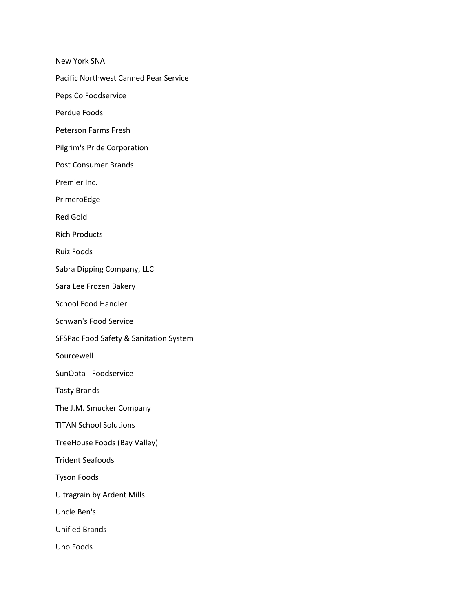New York SNA

Pacific Northwest Canned Pear Service

PepsiCo Foodservice

Perdue Foods

Peterson Farms Fresh

Pilgrim's Pride Corporation

Post Consumer Brands

Premier Inc.

PrimeroEdge

Red Gold

Rich Products

Ruiz Foods

Sabra Dipping Company, LLC

Sara Lee Frozen Bakery

School Food Handler

Schwan's Food Service

SFSPac Food Safety & Sanitation System

Sourcewell

SunOpta - Foodservice

Tasty Brands

The J.M. Smucker Company

TITAN School Solutions

TreeHouse Foods (Bay Valley)

Trident Seafoods

Tyson Foods

Ultragrain by Ardent Mills

Uncle Ben's

Unified Brands

Uno Foods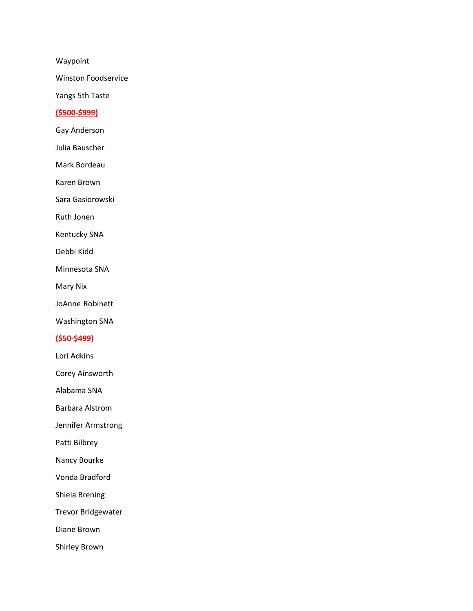Waypoint

Winston Foodservice

Yangs 5th Taste

#### **(\$500-\$999)**

Gay Anderson

Julia Bauscher

Mark Bordeau

Karen Brown

Sara Gasiorowski

Ruth Jonen

Kentucky SNA

Debbi Kidd

Minnesota SNA

Mary Nix

JoAnne Robinett

Washington SNA

## **(\$50-\$499)**

Lori Adkins

Corey Ainsworth

Alabama SNA

Barbara Alstrom

Jennifer Armstrong

Patti Bilbrey

Nancy Bourke

Vonda Bradford

Shiela Brening

Trevor Bridgewater

Diane Brown

Shirley Brown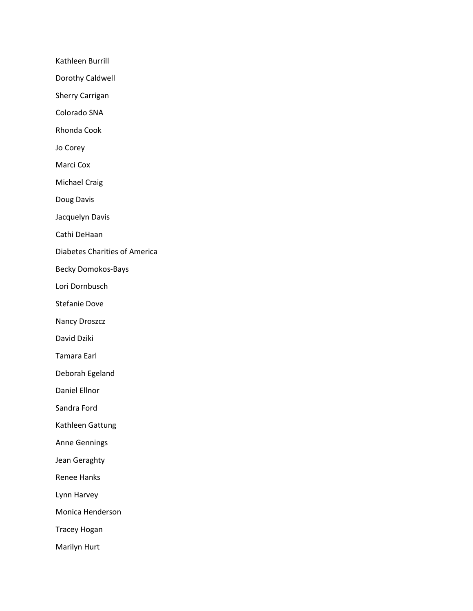Kathleen Burrill

Dorothy Caldwell

Sherry Carrigan

Colorado SNA

Rhonda Cook

Jo Corey

Marci Cox

Michael Craig

Doug Davis

Jacquelyn Davis

Cathi DeHaan

Diabetes Charities of America

Becky Domokos-Bays

Lori Dornbusch

Stefanie Dove

Nancy Droszcz

David Dziki

Tamara Earl

Deborah Egeland

Daniel Ellnor

Sandra Ford

Kathleen Gattung

Anne Gennings

Jean Geraghty

Renee Hanks

Lynn Harvey

Monica Henderson

Tracey Hogan

Marilyn Hurt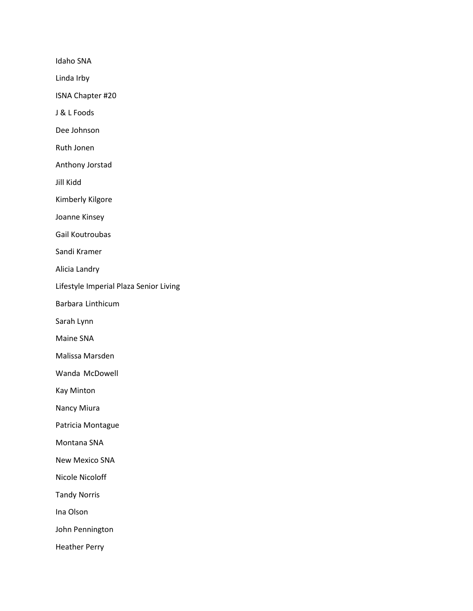Idaho SNA

Linda Irby

ISNA Chapter #20

J & L Foods

Dee Johnson

Ruth Jonen

Anthony Jorstad

Jill Kidd

Kimberly Kilgore

Joanne Kinsey

Gail Koutroubas

Sandi Kramer

Alicia Landry

Lifestyle Imperial Plaza Senior Living

Barbara Linthicum

Sarah Lynn

Maine SNA

Malissa Marsden

Wanda McDowell

Kay Minton

Nancy Miura

Patricia Montague

Montana SNA

New Mexico SNA

Nicole Nicoloff

Tandy Norris

Ina Olson

John Pennington

Heather Perry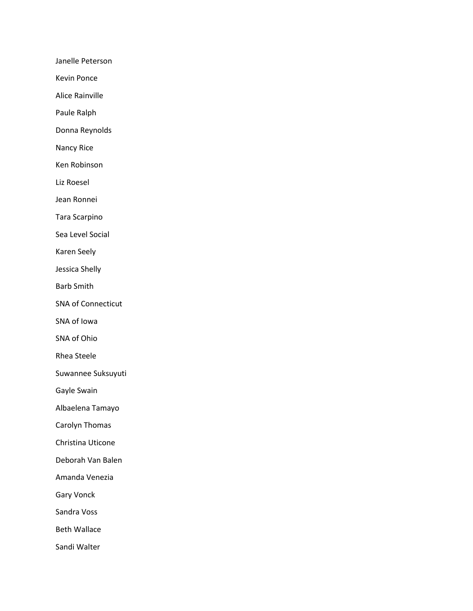Janelle Peterson

Kevin Ponce

Alice Rainville

Paule Ralph

Donna Reynolds

Nancy Rice

Ken Robinson

Liz Roesel

Jean Ronnei

Tara Scarpino

Sea Level Social

Karen Seely

Jessica Shelly

Barb Smith

SNA of Connecticut

SNA of Iowa

SNA of Ohio

Rhea Steele

Suwannee Suksuyuti

Gayle Swain

Albaelena Tamayo

Carolyn Thomas

Christina Uticone

Deborah Van Balen

Amanda Venezia

Gary Vonck

Sandra Voss

Beth Wallace

Sandi Walter